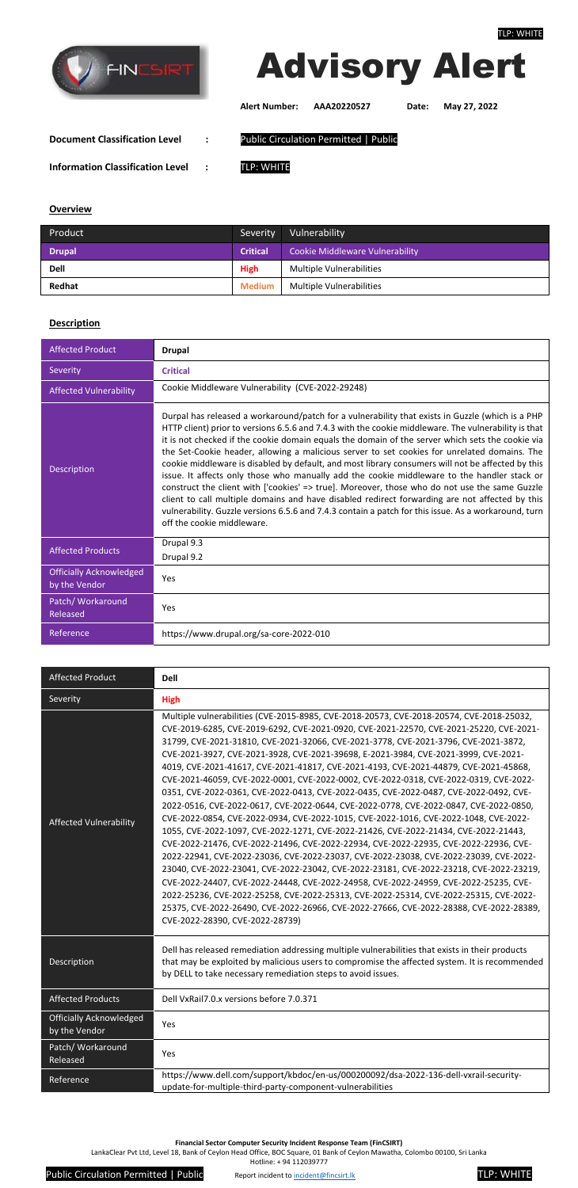

#### **Financial Sector Computer Security Incident Response Team (FinCSIRT)**

LankaClear Pvt Ltd, Level 18, Bank of Ceylon Head Office, BOC Square, 01 Bank of Ceylon Mawatha, Colombo 00100, Sri Lanka

Hotline: + 94 112039777

Public Circulation Permitted | Public Report incident t[o incident@fincsirt.lk](mailto:incident@fincsirt.lk) **TLP: WHITE** 



# Advisory Alert

**Alert Number: AAA20220527 Date: May 27, 2022**

**Document Classification Level :** Public Circulation Permitted | Public

**Information Classification Level :** TLP: WHITE

## **Overview**

| Product       | Severity        | Vulnerability                   |
|---------------|-----------------|---------------------------------|
| <b>Drupal</b> | <b>Critical</b> | Cookie Middleware Vulnerability |
| <b>Dell</b>   | <b>High</b>     | <b>Multiple Vulnerabilities</b> |
| Redhat        | <b>Medium</b>   | Multiple Vulnerabilities        |

# **Description**

| <b>Affected Product</b>                         | <b>Drupal</b>                                                                                                                                                                                                                                                                                                                                                                                                                                                                                                                                                                                                                                                                                                                                                                                                                                                                                                                                             |
|-------------------------------------------------|-----------------------------------------------------------------------------------------------------------------------------------------------------------------------------------------------------------------------------------------------------------------------------------------------------------------------------------------------------------------------------------------------------------------------------------------------------------------------------------------------------------------------------------------------------------------------------------------------------------------------------------------------------------------------------------------------------------------------------------------------------------------------------------------------------------------------------------------------------------------------------------------------------------------------------------------------------------|
| Severity                                        | <b>Critical</b>                                                                                                                                                                                                                                                                                                                                                                                                                                                                                                                                                                                                                                                                                                                                                                                                                                                                                                                                           |
| <b>Affected Vulnerability</b>                   | Cookie Middleware Vulnerability (CVE-2022-29248)                                                                                                                                                                                                                                                                                                                                                                                                                                                                                                                                                                                                                                                                                                                                                                                                                                                                                                          |
| <b>Description</b>                              | Durpal has released a workaround/patch for a vulnerability that exists in Guzzle (which is a PHP<br>HTTP client) prior to versions 6.5.6 and 7.4.3 with the cookie middleware. The vulnerability is that<br>it is not checked if the cookie domain equals the domain of the server which sets the cookie via<br>the Set-Cookie header, allowing a malicious server to set cookies for unrelated domains. The<br>cookie middleware is disabled by default, and most library consumers will not be affected by this<br>issue. It affects only those who manually add the cookie middleware to the handler stack or<br>construct the client with ['cookies' => true]. Moreover, those who do not use the same Guzzle<br>client to call multiple domains and have disabled redirect forwarding are not affected by this<br>vulnerability. Guzzle versions 6.5.6 and 7.4.3 contain a patch for this issue. As a workaround, turn<br>off the cookie middleware. |
| <b>Affected Products</b>                        | Drupal 9.3<br>Drupal 9.2                                                                                                                                                                                                                                                                                                                                                                                                                                                                                                                                                                                                                                                                                                                                                                                                                                                                                                                                  |
| <b>Officially Acknowledged</b><br>by the Vendor | Yes                                                                                                                                                                                                                                                                                                                                                                                                                                                                                                                                                                                                                                                                                                                                                                                                                                                                                                                                                       |
| Patch/ Workaround<br>Released                   | Yes                                                                                                                                                                                                                                                                                                                                                                                                                                                                                                                                                                                                                                                                                                                                                                                                                                                                                                                                                       |
| Reference                                       | https://www.drupal.org/sa-core-2022-010                                                                                                                                                                                                                                                                                                                                                                                                                                                                                                                                                                                                                                                                                                                                                                                                                                                                                                                   |

| <b>Affected Product</b>                         | <b>Dell</b>                                                                                                                                                                                                                                                                                                                                                                                                                                                                                                                                                                                                                                                                                                                                                                                                                                                                                                                                                                                                                                                                                                                                                                                                                                                                                                                                                                                                                                                                                                 |
|-------------------------------------------------|-------------------------------------------------------------------------------------------------------------------------------------------------------------------------------------------------------------------------------------------------------------------------------------------------------------------------------------------------------------------------------------------------------------------------------------------------------------------------------------------------------------------------------------------------------------------------------------------------------------------------------------------------------------------------------------------------------------------------------------------------------------------------------------------------------------------------------------------------------------------------------------------------------------------------------------------------------------------------------------------------------------------------------------------------------------------------------------------------------------------------------------------------------------------------------------------------------------------------------------------------------------------------------------------------------------------------------------------------------------------------------------------------------------------------------------------------------------------------------------------------------------|
| Severity                                        | <b>High</b>                                                                                                                                                                                                                                                                                                                                                                                                                                                                                                                                                                                                                                                                                                                                                                                                                                                                                                                                                                                                                                                                                                                                                                                                                                                                                                                                                                                                                                                                                                 |
| <b>Affected Vulnerability</b>                   | Multiple vulnerabilities (CVE-2015-8985, CVE-2018-20573, CVE-2018-20574, CVE-2018-25032,<br>CVE-2019-6285, CVE-2019-6292, CVE-2021-0920, CVE-2021-22570, CVE-2021-25220, CVE-2021-<br>31799, CVE-2021-31810, CVE-2021-32066, CVE-2021-3778, CVE-2021-3796, CVE-2021-3872,<br>CVE-2021-3927, CVE-2021-3928, CVE-2021-39698, E-2021-3984, CVE-2021-3999, CVE-2021-<br>4019, CVE-2021-41617, CVE-2021-41817, CVE-2021-4193, CVE-2021-44879, CVE-2021-45868,<br>CVE-2021-46059, CVE-2022-0001, CVE-2022-0002, CVE-2022-0318, CVE-2022-0319, CVE-2022-<br>0351, CVE-2022-0361, CVE-2022-0413, CVE-2022-0435, CVE-2022-0487, CVE-2022-0492, CVE-<br>2022-0516, CVE-2022-0617, CVE-2022-0644, CVE-2022-0778, CVE-2022-0847, CVE-2022-0850,<br>CVE-2022-0854, CVE-2022-0934, CVE-2022-1015, CVE-2022-1016, CVE-2022-1048, CVE-2022-<br>1055, CVE-2022-1097, CVE-2022-1271, CVE-2022-21426, CVE-2022-21434, CVE-2022-21443,<br>CVE-2022-21476, CVE-2022-21496, CVE-2022-22934, CVE-2022-22935, CVE-2022-22936, CVE-<br>2022-22941, CVE-2022-23036, CVE-2022-23037, CVE-2022-23038, CVE-2022-23039, CVE-2022-<br>23040, CVE-2022-23041, CVE-2022-23042, CVE-2022-23181, CVE-2022-23218, CVE-2022-23219,<br>CVE-2022-24407, CVE-2022-24448, CVE-2022-24958, CVE-2022-24959, CVE-2022-25235, CVE-<br>2022-25236, CVE-2022-25258, CVE-2022-25313, CVE-2022-25314, CVE-2022-25315, CVE-2022-<br>25375, CVE-2022-26490, CVE-2022-26966, CVE-2022-27666, CVE-2022-28388, CVE-2022-28389,<br>CVE-2022-28390, CVE-2022-28739) |
| Description                                     | Dell has released remediation addressing multiple vulnerabilities that exists in their products<br>that may be exploited by malicious users to compromise the affected system. It is recommended<br>by DELL to take necessary remediation steps to avoid issues.                                                                                                                                                                                                                                                                                                                                                                                                                                                                                                                                                                                                                                                                                                                                                                                                                                                                                                                                                                                                                                                                                                                                                                                                                                            |
| <b>Affected Products</b>                        | Dell VxRail7.0.x versions before 7.0.371                                                                                                                                                                                                                                                                                                                                                                                                                                                                                                                                                                                                                                                                                                                                                                                                                                                                                                                                                                                                                                                                                                                                                                                                                                                                                                                                                                                                                                                                    |
| <b>Officially Acknowledged</b><br>by the Vendor | Yes                                                                                                                                                                                                                                                                                                                                                                                                                                                                                                                                                                                                                                                                                                                                                                                                                                                                                                                                                                                                                                                                                                                                                                                                                                                                                                                                                                                                                                                                                                         |
| Patch/ Workaround<br>Released                   | Yes                                                                                                                                                                                                                                                                                                                                                                                                                                                                                                                                                                                                                                                                                                                                                                                                                                                                                                                                                                                                                                                                                                                                                                                                                                                                                                                                                                                                                                                                                                         |
| Reference                                       | https://www.dell.com/support/kbdoc/en-us/000200092/dsa-2022-136-dell-vxrail-security-<br>update-for-multiple-third-party-component-vulnerabilities                                                                                                                                                                                                                                                                                                                                                                                                                                                                                                                                                                                                                                                                                                                                                                                                                                                                                                                                                                                                                                                                                                                                                                                                                                                                                                                                                          |